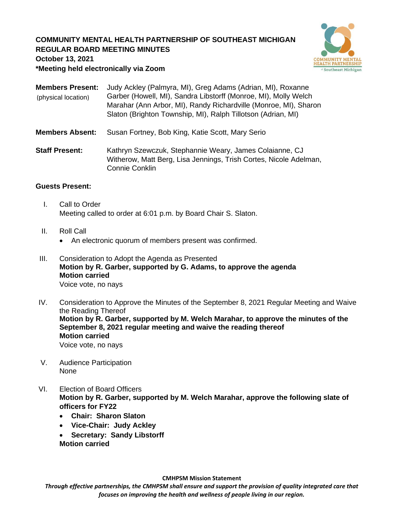# **COMMUNITY MENTAL HEALTH PARTNERSHIP OF SOUTHEAST MICHIGAN REGULAR BOARD MEETING MINUTES**



**October 13, 2021**

**\*Meeting held electronically via Zoom**

| <b>Members Present:</b> | Judy Ackley (Palmyra, MI), Greg Adams (Adrian, MI), Roxanne      |
|-------------------------|------------------------------------------------------------------|
| (physical location)     | Garber (Howell, MI), Sandra Libstorff (Monroe, MI), Molly Welch  |
|                         | Marahar (Ann Arbor, MI), Randy Richardville (Monroe, MI), Sharon |
|                         | Slaton (Brighton Township, MI), Ralph Tillotson (Adrian, MI)     |
|                         |                                                                  |

- **Members Absent:** Susan Fortney, Bob King, Katie Scott, Mary Serio
- **Staff Present:** Kathryn Szewczuk, Stephannie Weary, James Colaianne, CJ Witherow, Matt Berg, Lisa Jennings, Trish Cortes, Nicole Adelman, Connie Conklin

## **Guests Present:**

- I. Call to Order Meeting called to order at 6:01 p.m. by Board Chair S. Slaton.
- II. Roll Call
	- An electronic quorum of members present was confirmed.
- III. Consideration to Adopt the Agenda as Presented **Motion by R. Garber, supported by G. Adams, to approve the agenda Motion carried** Voice vote, no nays
- IV. Consideration to Approve the Minutes of the September 8, 2021 Regular Meeting and Waive the Reading Thereof **Motion by R. Garber, supported by M. Welch Marahar, to approve the minutes of the September 8, 2021 regular meeting and waive the reading thereof Motion carried** Voice vote, no nays
- V. Audience Participation None
- VI. Election of Board Officers **Motion by R. Garber, supported by M. Welch Marahar, approve the following slate of officers for FY22**
	- **Chair: Sharon Slaton**
	- **Vice-Chair: Judy Ackley**
	- **Secretary: Sandy Libstorff**
	- **Motion carried**

**CMHPSM Mission Statement**

*Through effective partnerships, the CMHPSM shall ensure and support the provision of quality integrated care that focuses on improving the health and wellness of people living in our region.*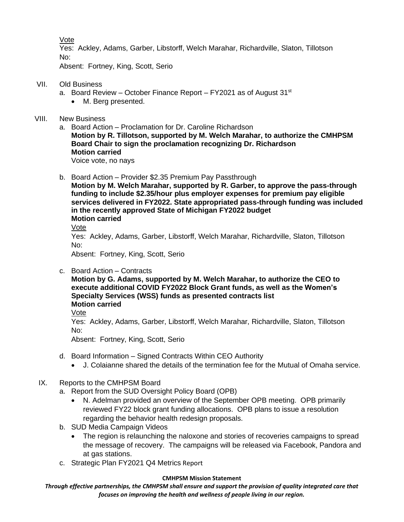Vote

Yes: Ackley, Adams, Garber, Libstorff, Welch Marahar, Richardville, Slaton, Tillotson No:

Absent: Fortney, King, Scott, Serio

- VII. Old Business
	- a. Board Review October Finance Report FY2021 as of August  $31<sup>st</sup>$ 
		- M. Berg presented.
- VIII. New Business
	- a. Board Action Proclamation for Dr. Caroline Richardson **Motion by R. Tillotson, supported by M. Welch Marahar, to authorize the CMHPSM Board Chair to sign the proclamation recognizing Dr. Richardson Motion carried**

Voice vote, no nays

- b. Board Action Provider \$2.35 Premium Pay Passthrough
	- **Motion by M. Welch Marahar, supported by R. Garber, to approve the pass-through funding to include \$2.35/hour plus employer expenses for premium pay eligible services delivered in FY2022. State appropriated pass-through funding was included in the recently approved State of Michigan FY2022 budget Motion carried**
	- Vote

Yes: Ackley, Adams, Garber, Libstorff, Welch Marahar, Richardville, Slaton, Tillotson No:

Absent: Fortney, King, Scott, Serio

c. Board Action – Contracts

**Motion by G. Adams, supported by M. Welch Marahar, to authorize the CEO to execute additional COVID FY2022 Block Grant funds, as well as the Women's Specialty Services (WSS) funds as presented contracts list Motion carried**

Vote

Yes: Ackley, Adams, Garber, Libstorff, Welch Marahar, Richardville, Slaton, Tillotson No:

Absent: Fortney, King, Scott, Serio

- d. Board Information Signed Contracts Within CEO Authority
	- J. Colaianne shared the details of the termination fee for the Mutual of Omaha service.

## IX. Reports to the CMHPSM Board

a. Report from the SUD Oversight Policy Board (OPB)

- N. Adelman provided an overview of the September OPB meeting. OPB primarily reviewed FY22 block grant funding allocations. OPB plans to issue a resolution regarding the behavior health redesign proposals.
- b. SUD Media Campaign Videos
	- The region is relaunching the naloxone and stories of recoveries campaigns to spread the message of recovery. The campaigns will be released via Facebook, Pandora and at gas stations.
- c. Strategic Plan FY2021 Q4 Metrics Report

#### **CMHPSM Mission Statement**

*Through effective partnerships, the CMHPSM shall ensure and support the provision of quality integrated care that focuses on improving the health and wellness of people living in our region.*